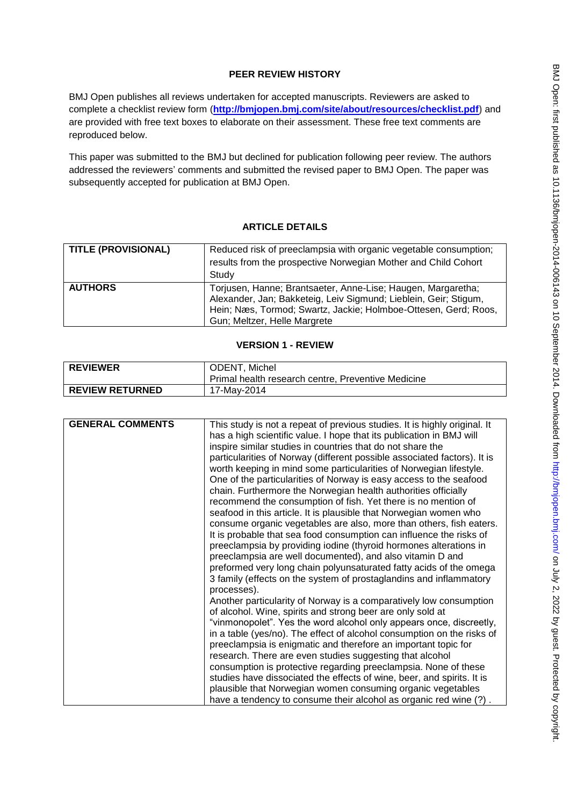## **PEER REVIEW HISTORY**

BMJ Open publishes all reviews undertaken for accepted manuscripts. Reviewers are asked to complete a checklist review form (**[http://bmjopen.bmj.com/site/about/resources/checklist.pdf\)](http://bmjopen.bmj.com/site/about/resources/checklist.pdf)** and are provided with free text boxes to elaborate on their assessment. These free text comments are reproduced below.

This paper was submitted to the BMJ but declined for publication following peer review. The authors addressed the reviewers' comments and submitted the revised paper to BMJ Open. The paper was subsequently accepted for publication at BMJ Open.

# **ARTICLE DETAILS**

| <b>TITLE (PROVISIONAL)</b> | Reduced risk of preeclampsia with organic vegetable consumption;<br>results from the prospective Norwegian Mother and Child Cohort<br>Study                                                                                         |
|----------------------------|-------------------------------------------------------------------------------------------------------------------------------------------------------------------------------------------------------------------------------------|
| <b>AUTHORS</b>             | Torjusen, Hanne; Brantsaeter, Anne-Lise; Haugen, Margaretha;<br>Alexander, Jan; Bakketeig, Leiv Sigmund; Lieblein, Geir; Stigum,<br>Hein; Næs, Tormod; Swartz, Jackie; Holmboe-Ottesen, Gerd; Roos,<br>Gun; Meltzer, Helle Margrete |

## **VERSION 1 - REVIEW**

| <b>REVIEWER</b>        | ODENT, Michel                                      |
|------------------------|----------------------------------------------------|
|                        | Primal health research centre, Preventive Medicine |
| <b>REVIEW RETURNED</b> | 17-May-2014                                        |

| <b>GENERAL COMMENTS</b> | This study is not a repeat of previous studies. It is highly original. It |
|-------------------------|---------------------------------------------------------------------------|
|                         | has a high scientific value. I hope that its publication in BMJ will      |
|                         | inspire similar studies in countries that do not share the                |
|                         | particularities of Norway (different possible associated factors). It is  |
|                         | worth keeping in mind some particularities of Norwegian lifestyle.        |
|                         | One of the particularities of Norway is easy access to the seafood        |
|                         | chain. Furthermore the Norwegian health authorities officially            |
|                         | recommend the consumption of fish. Yet there is no mention of             |
|                         | seafood in this article. It is plausible that Norwegian women who         |
|                         | consume organic vegetables are also, more than others, fish eaters.       |
|                         | It is probable that sea food consumption can influence the risks of       |
|                         | preeclampsia by providing iodine (thyroid hormones alterations in         |
|                         | preeclampsia are well documented), and also vitamin D and                 |
|                         | preformed very long chain polyunsaturated fatty acids of the omega        |
|                         | 3 family (effects on the system of prostaglandins and inflammatory        |
|                         | processes).                                                               |
|                         | Another particularity of Norway is a comparatively low consumption        |
|                         | of alcohol. Wine, spirits and strong beer are only sold at                |
|                         | "vinmonopolet". Yes the word alcohol only appears once, discreetly,       |
|                         | in a table (yes/no). The effect of alcohol consumption on the risks of    |
|                         | preeclampsia is enigmatic and therefore an important topic for            |
|                         | research. There are even studies suggesting that alcohol                  |
|                         | consumption is protective regarding preeclampsia. None of these           |
|                         | studies have dissociated the effects of wine, beer, and spirits. It is    |
|                         | plausible that Norwegian women consuming organic vegetables               |
|                         | have a tendency to consume their alcohol as organic red wine (?).         |
|                         |                                                                           |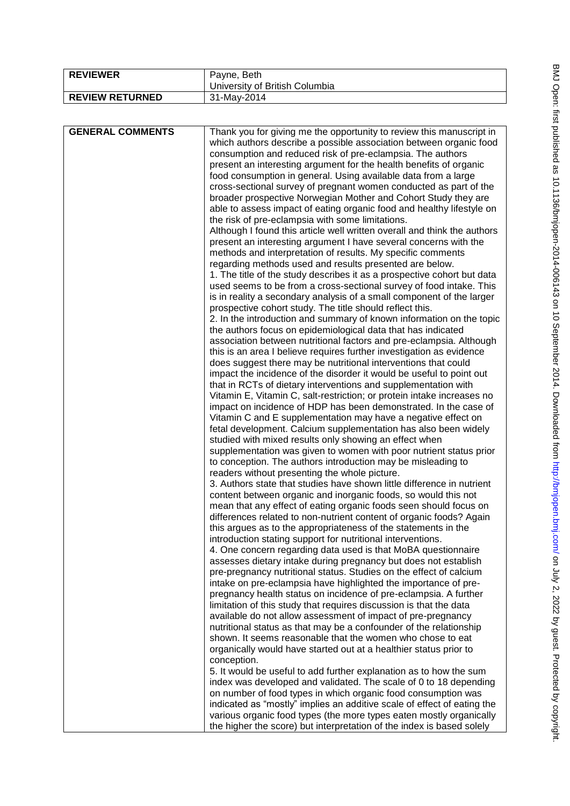| <b>REVIEWER</b>        | Payne, Beth<br>University of British Columbia |
|------------------------|-----------------------------------------------|
| <b>REVIEW RETURNED</b> | 31-May-2014                                   |

| which authors describe a possible association between organic food<br>consumption and reduced risk of pre-eclampsia. The authors<br>present an interesting argument for the health benefits of organic<br>food consumption in general. Using available data from a large<br>cross-sectional survey of pregnant women conducted as part of the<br>broader prospective Norwegian Mother and Cohort Study they are<br>able to assess impact of eating organic food and healthy lifestyle on<br>the risk of pre-eclampsia with some limitations.<br>Although I found this article well written overall and think the authors<br>present an interesting argument I have several concerns with the<br>methods and interpretation of results. My specific comments<br>regarding methods used and results presented are below.<br>1. The title of the study describes it as a prospective cohort but data<br>used seems to be from a cross-sectional survey of food intake. This<br>is in reality a secondary analysis of a small component of the larger<br>prospective cohort study. The title should reflect this.<br>2. In the introduction and summary of known information on the topic<br>the authors focus on epidemiological data that has indicated<br>association between nutritional factors and pre-eclampsia. Although<br>this is an area I believe requires further investigation as evidence<br>does suggest there may be nutritional interventions that could<br>impact the incidence of the disorder it would be useful to point out<br>that in RCTs of dietary interventions and supplementation with<br>Vitamin E, Vitamin C, salt-restriction; or protein intake increases no<br>impact on incidence of HDP has been demonstrated. In the case of<br>Vitamin C and E supplementation may have a negative effect on<br>fetal development. Calcium supplementation has also been widely<br>studied with mixed results only showing an effect when<br>supplementation was given to women with poor nutrient status prior<br>to conception. The authors introduction may be misleading to<br>readers without presenting the whole picture.<br>3. Authors state that studies have shown little difference in nutrient<br>content between organic and inorganic foods, so would this not<br>mean that any effect of eating organic foods seen should focus on<br>differences related to non-nutrient content of organic foods? Again<br>this argues as to the appropriateness of the statements in the<br>introduction stating support for nutritional interventions.<br>4. One concern regarding data used is that MoBA questionnaire<br>assesses dietary intake during pregnancy but does not establish<br>pre-pregnancy nutritional status. Studies on the effect of calcium<br>intake on pre-eclampsia have highlighted the importance of pre-<br>pregnancy health status on incidence of pre-eclampsia. A further<br>limitation of this study that requires discussion is that the data<br>available do not allow assessment of impact of pre-pregnancy<br>nutritional status as that may be a confounder of the relationship<br>shown. It seems reasonable that the women who chose to eat<br>organically would have started out at a healthier status prior to<br>conception.<br>5. It would be useful to add further explanation as to how the sum<br>index was developed and validated. The scale of 0 to 18 depending<br>on number of food types in which organic food consumption was<br>indicated as "mostly" implies an additive scale of effect of eating the<br>various organic food types (the more types eaten mostly organically | <b>GENERAL COMMENTS</b> | Thank you for giving me the opportunity to review this manuscript in  |
|-----------------------------------------------------------------------------------------------------------------------------------------------------------------------------------------------------------------------------------------------------------------------------------------------------------------------------------------------------------------------------------------------------------------------------------------------------------------------------------------------------------------------------------------------------------------------------------------------------------------------------------------------------------------------------------------------------------------------------------------------------------------------------------------------------------------------------------------------------------------------------------------------------------------------------------------------------------------------------------------------------------------------------------------------------------------------------------------------------------------------------------------------------------------------------------------------------------------------------------------------------------------------------------------------------------------------------------------------------------------------------------------------------------------------------------------------------------------------------------------------------------------------------------------------------------------------------------------------------------------------------------------------------------------------------------------------------------------------------------------------------------------------------------------------------------------------------------------------------------------------------------------------------------------------------------------------------------------------------------------------------------------------------------------------------------------------------------------------------------------------------------------------------------------------------------------------------------------------------------------------------------------------------------------------------------------------------------------------------------------------------------------------------------------------------------------------------------------------------------------------------------------------------------------------------------------------------------------------------------------------------------------------------------------------------------------------------------------------------------------------------------------------------------------------------------------------------------------------------------------------------------------------------------------------------------------------------------------------------------------------------------------------------------------------------------------------------------------------------------------------------------------------------------------------------------------------------------------------------------------------------------------------------------------------------------------------------------------------------------------------------------------------------------------------------------------------------------------------------------------------------------------------------------------------------------------------------------------------------------------------------------------------------------|-------------------------|-----------------------------------------------------------------------|
|                                                                                                                                                                                                                                                                                                                                                                                                                                                                                                                                                                                                                                                                                                                                                                                                                                                                                                                                                                                                                                                                                                                                                                                                                                                                                                                                                                                                                                                                                                                                                                                                                                                                                                                                                                                                                                                                                                                                                                                                                                                                                                                                                                                                                                                                                                                                                                                                                                                                                                                                                                                                                                                                                                                                                                                                                                                                                                                                                                                                                                                                                                                                                                                                                                                                                                                                                                                                                                                                                                                                                                                                                                                           |                         |                                                                       |
|                                                                                                                                                                                                                                                                                                                                                                                                                                                                                                                                                                                                                                                                                                                                                                                                                                                                                                                                                                                                                                                                                                                                                                                                                                                                                                                                                                                                                                                                                                                                                                                                                                                                                                                                                                                                                                                                                                                                                                                                                                                                                                                                                                                                                                                                                                                                                                                                                                                                                                                                                                                                                                                                                                                                                                                                                                                                                                                                                                                                                                                                                                                                                                                                                                                                                                                                                                                                                                                                                                                                                                                                                                                           |                         |                                                                       |
|                                                                                                                                                                                                                                                                                                                                                                                                                                                                                                                                                                                                                                                                                                                                                                                                                                                                                                                                                                                                                                                                                                                                                                                                                                                                                                                                                                                                                                                                                                                                                                                                                                                                                                                                                                                                                                                                                                                                                                                                                                                                                                                                                                                                                                                                                                                                                                                                                                                                                                                                                                                                                                                                                                                                                                                                                                                                                                                                                                                                                                                                                                                                                                                                                                                                                                                                                                                                                                                                                                                                                                                                                                                           |                         |                                                                       |
|                                                                                                                                                                                                                                                                                                                                                                                                                                                                                                                                                                                                                                                                                                                                                                                                                                                                                                                                                                                                                                                                                                                                                                                                                                                                                                                                                                                                                                                                                                                                                                                                                                                                                                                                                                                                                                                                                                                                                                                                                                                                                                                                                                                                                                                                                                                                                                                                                                                                                                                                                                                                                                                                                                                                                                                                                                                                                                                                                                                                                                                                                                                                                                                                                                                                                                                                                                                                                                                                                                                                                                                                                                                           |                         |                                                                       |
|                                                                                                                                                                                                                                                                                                                                                                                                                                                                                                                                                                                                                                                                                                                                                                                                                                                                                                                                                                                                                                                                                                                                                                                                                                                                                                                                                                                                                                                                                                                                                                                                                                                                                                                                                                                                                                                                                                                                                                                                                                                                                                                                                                                                                                                                                                                                                                                                                                                                                                                                                                                                                                                                                                                                                                                                                                                                                                                                                                                                                                                                                                                                                                                                                                                                                                                                                                                                                                                                                                                                                                                                                                                           |                         |                                                                       |
|                                                                                                                                                                                                                                                                                                                                                                                                                                                                                                                                                                                                                                                                                                                                                                                                                                                                                                                                                                                                                                                                                                                                                                                                                                                                                                                                                                                                                                                                                                                                                                                                                                                                                                                                                                                                                                                                                                                                                                                                                                                                                                                                                                                                                                                                                                                                                                                                                                                                                                                                                                                                                                                                                                                                                                                                                                                                                                                                                                                                                                                                                                                                                                                                                                                                                                                                                                                                                                                                                                                                                                                                                                                           |                         |                                                                       |
|                                                                                                                                                                                                                                                                                                                                                                                                                                                                                                                                                                                                                                                                                                                                                                                                                                                                                                                                                                                                                                                                                                                                                                                                                                                                                                                                                                                                                                                                                                                                                                                                                                                                                                                                                                                                                                                                                                                                                                                                                                                                                                                                                                                                                                                                                                                                                                                                                                                                                                                                                                                                                                                                                                                                                                                                                                                                                                                                                                                                                                                                                                                                                                                                                                                                                                                                                                                                                                                                                                                                                                                                                                                           |                         |                                                                       |
|                                                                                                                                                                                                                                                                                                                                                                                                                                                                                                                                                                                                                                                                                                                                                                                                                                                                                                                                                                                                                                                                                                                                                                                                                                                                                                                                                                                                                                                                                                                                                                                                                                                                                                                                                                                                                                                                                                                                                                                                                                                                                                                                                                                                                                                                                                                                                                                                                                                                                                                                                                                                                                                                                                                                                                                                                                                                                                                                                                                                                                                                                                                                                                                                                                                                                                                                                                                                                                                                                                                                                                                                                                                           |                         |                                                                       |
|                                                                                                                                                                                                                                                                                                                                                                                                                                                                                                                                                                                                                                                                                                                                                                                                                                                                                                                                                                                                                                                                                                                                                                                                                                                                                                                                                                                                                                                                                                                                                                                                                                                                                                                                                                                                                                                                                                                                                                                                                                                                                                                                                                                                                                                                                                                                                                                                                                                                                                                                                                                                                                                                                                                                                                                                                                                                                                                                                                                                                                                                                                                                                                                                                                                                                                                                                                                                                                                                                                                                                                                                                                                           |                         |                                                                       |
|                                                                                                                                                                                                                                                                                                                                                                                                                                                                                                                                                                                                                                                                                                                                                                                                                                                                                                                                                                                                                                                                                                                                                                                                                                                                                                                                                                                                                                                                                                                                                                                                                                                                                                                                                                                                                                                                                                                                                                                                                                                                                                                                                                                                                                                                                                                                                                                                                                                                                                                                                                                                                                                                                                                                                                                                                                                                                                                                                                                                                                                                                                                                                                                                                                                                                                                                                                                                                                                                                                                                                                                                                                                           |                         |                                                                       |
|                                                                                                                                                                                                                                                                                                                                                                                                                                                                                                                                                                                                                                                                                                                                                                                                                                                                                                                                                                                                                                                                                                                                                                                                                                                                                                                                                                                                                                                                                                                                                                                                                                                                                                                                                                                                                                                                                                                                                                                                                                                                                                                                                                                                                                                                                                                                                                                                                                                                                                                                                                                                                                                                                                                                                                                                                                                                                                                                                                                                                                                                                                                                                                                                                                                                                                                                                                                                                                                                                                                                                                                                                                                           |                         |                                                                       |
|                                                                                                                                                                                                                                                                                                                                                                                                                                                                                                                                                                                                                                                                                                                                                                                                                                                                                                                                                                                                                                                                                                                                                                                                                                                                                                                                                                                                                                                                                                                                                                                                                                                                                                                                                                                                                                                                                                                                                                                                                                                                                                                                                                                                                                                                                                                                                                                                                                                                                                                                                                                                                                                                                                                                                                                                                                                                                                                                                                                                                                                                                                                                                                                                                                                                                                                                                                                                                                                                                                                                                                                                                                                           |                         |                                                                       |
|                                                                                                                                                                                                                                                                                                                                                                                                                                                                                                                                                                                                                                                                                                                                                                                                                                                                                                                                                                                                                                                                                                                                                                                                                                                                                                                                                                                                                                                                                                                                                                                                                                                                                                                                                                                                                                                                                                                                                                                                                                                                                                                                                                                                                                                                                                                                                                                                                                                                                                                                                                                                                                                                                                                                                                                                                                                                                                                                                                                                                                                                                                                                                                                                                                                                                                                                                                                                                                                                                                                                                                                                                                                           |                         |                                                                       |
|                                                                                                                                                                                                                                                                                                                                                                                                                                                                                                                                                                                                                                                                                                                                                                                                                                                                                                                                                                                                                                                                                                                                                                                                                                                                                                                                                                                                                                                                                                                                                                                                                                                                                                                                                                                                                                                                                                                                                                                                                                                                                                                                                                                                                                                                                                                                                                                                                                                                                                                                                                                                                                                                                                                                                                                                                                                                                                                                                                                                                                                                                                                                                                                                                                                                                                                                                                                                                                                                                                                                                                                                                                                           |                         |                                                                       |
|                                                                                                                                                                                                                                                                                                                                                                                                                                                                                                                                                                                                                                                                                                                                                                                                                                                                                                                                                                                                                                                                                                                                                                                                                                                                                                                                                                                                                                                                                                                                                                                                                                                                                                                                                                                                                                                                                                                                                                                                                                                                                                                                                                                                                                                                                                                                                                                                                                                                                                                                                                                                                                                                                                                                                                                                                                                                                                                                                                                                                                                                                                                                                                                                                                                                                                                                                                                                                                                                                                                                                                                                                                                           |                         |                                                                       |
|                                                                                                                                                                                                                                                                                                                                                                                                                                                                                                                                                                                                                                                                                                                                                                                                                                                                                                                                                                                                                                                                                                                                                                                                                                                                                                                                                                                                                                                                                                                                                                                                                                                                                                                                                                                                                                                                                                                                                                                                                                                                                                                                                                                                                                                                                                                                                                                                                                                                                                                                                                                                                                                                                                                                                                                                                                                                                                                                                                                                                                                                                                                                                                                                                                                                                                                                                                                                                                                                                                                                                                                                                                                           |                         |                                                                       |
|                                                                                                                                                                                                                                                                                                                                                                                                                                                                                                                                                                                                                                                                                                                                                                                                                                                                                                                                                                                                                                                                                                                                                                                                                                                                                                                                                                                                                                                                                                                                                                                                                                                                                                                                                                                                                                                                                                                                                                                                                                                                                                                                                                                                                                                                                                                                                                                                                                                                                                                                                                                                                                                                                                                                                                                                                                                                                                                                                                                                                                                                                                                                                                                                                                                                                                                                                                                                                                                                                                                                                                                                                                                           |                         |                                                                       |
|                                                                                                                                                                                                                                                                                                                                                                                                                                                                                                                                                                                                                                                                                                                                                                                                                                                                                                                                                                                                                                                                                                                                                                                                                                                                                                                                                                                                                                                                                                                                                                                                                                                                                                                                                                                                                                                                                                                                                                                                                                                                                                                                                                                                                                                                                                                                                                                                                                                                                                                                                                                                                                                                                                                                                                                                                                                                                                                                                                                                                                                                                                                                                                                                                                                                                                                                                                                                                                                                                                                                                                                                                                                           |                         |                                                                       |
|                                                                                                                                                                                                                                                                                                                                                                                                                                                                                                                                                                                                                                                                                                                                                                                                                                                                                                                                                                                                                                                                                                                                                                                                                                                                                                                                                                                                                                                                                                                                                                                                                                                                                                                                                                                                                                                                                                                                                                                                                                                                                                                                                                                                                                                                                                                                                                                                                                                                                                                                                                                                                                                                                                                                                                                                                                                                                                                                                                                                                                                                                                                                                                                                                                                                                                                                                                                                                                                                                                                                                                                                                                                           |                         |                                                                       |
|                                                                                                                                                                                                                                                                                                                                                                                                                                                                                                                                                                                                                                                                                                                                                                                                                                                                                                                                                                                                                                                                                                                                                                                                                                                                                                                                                                                                                                                                                                                                                                                                                                                                                                                                                                                                                                                                                                                                                                                                                                                                                                                                                                                                                                                                                                                                                                                                                                                                                                                                                                                                                                                                                                                                                                                                                                                                                                                                                                                                                                                                                                                                                                                                                                                                                                                                                                                                                                                                                                                                                                                                                                                           |                         |                                                                       |
|                                                                                                                                                                                                                                                                                                                                                                                                                                                                                                                                                                                                                                                                                                                                                                                                                                                                                                                                                                                                                                                                                                                                                                                                                                                                                                                                                                                                                                                                                                                                                                                                                                                                                                                                                                                                                                                                                                                                                                                                                                                                                                                                                                                                                                                                                                                                                                                                                                                                                                                                                                                                                                                                                                                                                                                                                                                                                                                                                                                                                                                                                                                                                                                                                                                                                                                                                                                                                                                                                                                                                                                                                                                           |                         |                                                                       |
|                                                                                                                                                                                                                                                                                                                                                                                                                                                                                                                                                                                                                                                                                                                                                                                                                                                                                                                                                                                                                                                                                                                                                                                                                                                                                                                                                                                                                                                                                                                                                                                                                                                                                                                                                                                                                                                                                                                                                                                                                                                                                                                                                                                                                                                                                                                                                                                                                                                                                                                                                                                                                                                                                                                                                                                                                                                                                                                                                                                                                                                                                                                                                                                                                                                                                                                                                                                                                                                                                                                                                                                                                                                           |                         |                                                                       |
|                                                                                                                                                                                                                                                                                                                                                                                                                                                                                                                                                                                                                                                                                                                                                                                                                                                                                                                                                                                                                                                                                                                                                                                                                                                                                                                                                                                                                                                                                                                                                                                                                                                                                                                                                                                                                                                                                                                                                                                                                                                                                                                                                                                                                                                                                                                                                                                                                                                                                                                                                                                                                                                                                                                                                                                                                                                                                                                                                                                                                                                                                                                                                                                                                                                                                                                                                                                                                                                                                                                                                                                                                                                           |                         |                                                                       |
|                                                                                                                                                                                                                                                                                                                                                                                                                                                                                                                                                                                                                                                                                                                                                                                                                                                                                                                                                                                                                                                                                                                                                                                                                                                                                                                                                                                                                                                                                                                                                                                                                                                                                                                                                                                                                                                                                                                                                                                                                                                                                                                                                                                                                                                                                                                                                                                                                                                                                                                                                                                                                                                                                                                                                                                                                                                                                                                                                                                                                                                                                                                                                                                                                                                                                                                                                                                                                                                                                                                                                                                                                                                           |                         |                                                                       |
|                                                                                                                                                                                                                                                                                                                                                                                                                                                                                                                                                                                                                                                                                                                                                                                                                                                                                                                                                                                                                                                                                                                                                                                                                                                                                                                                                                                                                                                                                                                                                                                                                                                                                                                                                                                                                                                                                                                                                                                                                                                                                                                                                                                                                                                                                                                                                                                                                                                                                                                                                                                                                                                                                                                                                                                                                                                                                                                                                                                                                                                                                                                                                                                                                                                                                                                                                                                                                                                                                                                                                                                                                                                           |                         |                                                                       |
|                                                                                                                                                                                                                                                                                                                                                                                                                                                                                                                                                                                                                                                                                                                                                                                                                                                                                                                                                                                                                                                                                                                                                                                                                                                                                                                                                                                                                                                                                                                                                                                                                                                                                                                                                                                                                                                                                                                                                                                                                                                                                                                                                                                                                                                                                                                                                                                                                                                                                                                                                                                                                                                                                                                                                                                                                                                                                                                                                                                                                                                                                                                                                                                                                                                                                                                                                                                                                                                                                                                                                                                                                                                           |                         |                                                                       |
|                                                                                                                                                                                                                                                                                                                                                                                                                                                                                                                                                                                                                                                                                                                                                                                                                                                                                                                                                                                                                                                                                                                                                                                                                                                                                                                                                                                                                                                                                                                                                                                                                                                                                                                                                                                                                                                                                                                                                                                                                                                                                                                                                                                                                                                                                                                                                                                                                                                                                                                                                                                                                                                                                                                                                                                                                                                                                                                                                                                                                                                                                                                                                                                                                                                                                                                                                                                                                                                                                                                                                                                                                                                           |                         |                                                                       |
|                                                                                                                                                                                                                                                                                                                                                                                                                                                                                                                                                                                                                                                                                                                                                                                                                                                                                                                                                                                                                                                                                                                                                                                                                                                                                                                                                                                                                                                                                                                                                                                                                                                                                                                                                                                                                                                                                                                                                                                                                                                                                                                                                                                                                                                                                                                                                                                                                                                                                                                                                                                                                                                                                                                                                                                                                                                                                                                                                                                                                                                                                                                                                                                                                                                                                                                                                                                                                                                                                                                                                                                                                                                           |                         |                                                                       |
|                                                                                                                                                                                                                                                                                                                                                                                                                                                                                                                                                                                                                                                                                                                                                                                                                                                                                                                                                                                                                                                                                                                                                                                                                                                                                                                                                                                                                                                                                                                                                                                                                                                                                                                                                                                                                                                                                                                                                                                                                                                                                                                                                                                                                                                                                                                                                                                                                                                                                                                                                                                                                                                                                                                                                                                                                                                                                                                                                                                                                                                                                                                                                                                                                                                                                                                                                                                                                                                                                                                                                                                                                                                           |                         |                                                                       |
|                                                                                                                                                                                                                                                                                                                                                                                                                                                                                                                                                                                                                                                                                                                                                                                                                                                                                                                                                                                                                                                                                                                                                                                                                                                                                                                                                                                                                                                                                                                                                                                                                                                                                                                                                                                                                                                                                                                                                                                                                                                                                                                                                                                                                                                                                                                                                                                                                                                                                                                                                                                                                                                                                                                                                                                                                                                                                                                                                                                                                                                                                                                                                                                                                                                                                                                                                                                                                                                                                                                                                                                                                                                           |                         |                                                                       |
|                                                                                                                                                                                                                                                                                                                                                                                                                                                                                                                                                                                                                                                                                                                                                                                                                                                                                                                                                                                                                                                                                                                                                                                                                                                                                                                                                                                                                                                                                                                                                                                                                                                                                                                                                                                                                                                                                                                                                                                                                                                                                                                                                                                                                                                                                                                                                                                                                                                                                                                                                                                                                                                                                                                                                                                                                                                                                                                                                                                                                                                                                                                                                                                                                                                                                                                                                                                                                                                                                                                                                                                                                                                           |                         |                                                                       |
|                                                                                                                                                                                                                                                                                                                                                                                                                                                                                                                                                                                                                                                                                                                                                                                                                                                                                                                                                                                                                                                                                                                                                                                                                                                                                                                                                                                                                                                                                                                                                                                                                                                                                                                                                                                                                                                                                                                                                                                                                                                                                                                                                                                                                                                                                                                                                                                                                                                                                                                                                                                                                                                                                                                                                                                                                                                                                                                                                                                                                                                                                                                                                                                                                                                                                                                                                                                                                                                                                                                                                                                                                                                           |                         |                                                                       |
|                                                                                                                                                                                                                                                                                                                                                                                                                                                                                                                                                                                                                                                                                                                                                                                                                                                                                                                                                                                                                                                                                                                                                                                                                                                                                                                                                                                                                                                                                                                                                                                                                                                                                                                                                                                                                                                                                                                                                                                                                                                                                                                                                                                                                                                                                                                                                                                                                                                                                                                                                                                                                                                                                                                                                                                                                                                                                                                                                                                                                                                                                                                                                                                                                                                                                                                                                                                                                                                                                                                                                                                                                                                           |                         |                                                                       |
|                                                                                                                                                                                                                                                                                                                                                                                                                                                                                                                                                                                                                                                                                                                                                                                                                                                                                                                                                                                                                                                                                                                                                                                                                                                                                                                                                                                                                                                                                                                                                                                                                                                                                                                                                                                                                                                                                                                                                                                                                                                                                                                                                                                                                                                                                                                                                                                                                                                                                                                                                                                                                                                                                                                                                                                                                                                                                                                                                                                                                                                                                                                                                                                                                                                                                                                                                                                                                                                                                                                                                                                                                                                           |                         |                                                                       |
|                                                                                                                                                                                                                                                                                                                                                                                                                                                                                                                                                                                                                                                                                                                                                                                                                                                                                                                                                                                                                                                                                                                                                                                                                                                                                                                                                                                                                                                                                                                                                                                                                                                                                                                                                                                                                                                                                                                                                                                                                                                                                                                                                                                                                                                                                                                                                                                                                                                                                                                                                                                                                                                                                                                                                                                                                                                                                                                                                                                                                                                                                                                                                                                                                                                                                                                                                                                                                                                                                                                                                                                                                                                           |                         |                                                                       |
|                                                                                                                                                                                                                                                                                                                                                                                                                                                                                                                                                                                                                                                                                                                                                                                                                                                                                                                                                                                                                                                                                                                                                                                                                                                                                                                                                                                                                                                                                                                                                                                                                                                                                                                                                                                                                                                                                                                                                                                                                                                                                                                                                                                                                                                                                                                                                                                                                                                                                                                                                                                                                                                                                                                                                                                                                                                                                                                                                                                                                                                                                                                                                                                                                                                                                                                                                                                                                                                                                                                                                                                                                                                           |                         |                                                                       |
|                                                                                                                                                                                                                                                                                                                                                                                                                                                                                                                                                                                                                                                                                                                                                                                                                                                                                                                                                                                                                                                                                                                                                                                                                                                                                                                                                                                                                                                                                                                                                                                                                                                                                                                                                                                                                                                                                                                                                                                                                                                                                                                                                                                                                                                                                                                                                                                                                                                                                                                                                                                                                                                                                                                                                                                                                                                                                                                                                                                                                                                                                                                                                                                                                                                                                                                                                                                                                                                                                                                                                                                                                                                           |                         |                                                                       |
|                                                                                                                                                                                                                                                                                                                                                                                                                                                                                                                                                                                                                                                                                                                                                                                                                                                                                                                                                                                                                                                                                                                                                                                                                                                                                                                                                                                                                                                                                                                                                                                                                                                                                                                                                                                                                                                                                                                                                                                                                                                                                                                                                                                                                                                                                                                                                                                                                                                                                                                                                                                                                                                                                                                                                                                                                                                                                                                                                                                                                                                                                                                                                                                                                                                                                                                                                                                                                                                                                                                                                                                                                                                           |                         |                                                                       |
|                                                                                                                                                                                                                                                                                                                                                                                                                                                                                                                                                                                                                                                                                                                                                                                                                                                                                                                                                                                                                                                                                                                                                                                                                                                                                                                                                                                                                                                                                                                                                                                                                                                                                                                                                                                                                                                                                                                                                                                                                                                                                                                                                                                                                                                                                                                                                                                                                                                                                                                                                                                                                                                                                                                                                                                                                                                                                                                                                                                                                                                                                                                                                                                                                                                                                                                                                                                                                                                                                                                                                                                                                                                           |                         |                                                                       |
|                                                                                                                                                                                                                                                                                                                                                                                                                                                                                                                                                                                                                                                                                                                                                                                                                                                                                                                                                                                                                                                                                                                                                                                                                                                                                                                                                                                                                                                                                                                                                                                                                                                                                                                                                                                                                                                                                                                                                                                                                                                                                                                                                                                                                                                                                                                                                                                                                                                                                                                                                                                                                                                                                                                                                                                                                                                                                                                                                                                                                                                                                                                                                                                                                                                                                                                                                                                                                                                                                                                                                                                                                                                           |                         |                                                                       |
|                                                                                                                                                                                                                                                                                                                                                                                                                                                                                                                                                                                                                                                                                                                                                                                                                                                                                                                                                                                                                                                                                                                                                                                                                                                                                                                                                                                                                                                                                                                                                                                                                                                                                                                                                                                                                                                                                                                                                                                                                                                                                                                                                                                                                                                                                                                                                                                                                                                                                                                                                                                                                                                                                                                                                                                                                                                                                                                                                                                                                                                                                                                                                                                                                                                                                                                                                                                                                                                                                                                                                                                                                                                           |                         |                                                                       |
|                                                                                                                                                                                                                                                                                                                                                                                                                                                                                                                                                                                                                                                                                                                                                                                                                                                                                                                                                                                                                                                                                                                                                                                                                                                                                                                                                                                                                                                                                                                                                                                                                                                                                                                                                                                                                                                                                                                                                                                                                                                                                                                                                                                                                                                                                                                                                                                                                                                                                                                                                                                                                                                                                                                                                                                                                                                                                                                                                                                                                                                                                                                                                                                                                                                                                                                                                                                                                                                                                                                                                                                                                                                           |                         |                                                                       |
|                                                                                                                                                                                                                                                                                                                                                                                                                                                                                                                                                                                                                                                                                                                                                                                                                                                                                                                                                                                                                                                                                                                                                                                                                                                                                                                                                                                                                                                                                                                                                                                                                                                                                                                                                                                                                                                                                                                                                                                                                                                                                                                                                                                                                                                                                                                                                                                                                                                                                                                                                                                                                                                                                                                                                                                                                                                                                                                                                                                                                                                                                                                                                                                                                                                                                                                                                                                                                                                                                                                                                                                                                                                           |                         |                                                                       |
|                                                                                                                                                                                                                                                                                                                                                                                                                                                                                                                                                                                                                                                                                                                                                                                                                                                                                                                                                                                                                                                                                                                                                                                                                                                                                                                                                                                                                                                                                                                                                                                                                                                                                                                                                                                                                                                                                                                                                                                                                                                                                                                                                                                                                                                                                                                                                                                                                                                                                                                                                                                                                                                                                                                                                                                                                                                                                                                                                                                                                                                                                                                                                                                                                                                                                                                                                                                                                                                                                                                                                                                                                                                           |                         |                                                                       |
|                                                                                                                                                                                                                                                                                                                                                                                                                                                                                                                                                                                                                                                                                                                                                                                                                                                                                                                                                                                                                                                                                                                                                                                                                                                                                                                                                                                                                                                                                                                                                                                                                                                                                                                                                                                                                                                                                                                                                                                                                                                                                                                                                                                                                                                                                                                                                                                                                                                                                                                                                                                                                                                                                                                                                                                                                                                                                                                                                                                                                                                                                                                                                                                                                                                                                                                                                                                                                                                                                                                                                                                                                                                           |                         |                                                                       |
|                                                                                                                                                                                                                                                                                                                                                                                                                                                                                                                                                                                                                                                                                                                                                                                                                                                                                                                                                                                                                                                                                                                                                                                                                                                                                                                                                                                                                                                                                                                                                                                                                                                                                                                                                                                                                                                                                                                                                                                                                                                                                                                                                                                                                                                                                                                                                                                                                                                                                                                                                                                                                                                                                                                                                                                                                                                                                                                                                                                                                                                                                                                                                                                                                                                                                                                                                                                                                                                                                                                                                                                                                                                           |                         |                                                                       |
|                                                                                                                                                                                                                                                                                                                                                                                                                                                                                                                                                                                                                                                                                                                                                                                                                                                                                                                                                                                                                                                                                                                                                                                                                                                                                                                                                                                                                                                                                                                                                                                                                                                                                                                                                                                                                                                                                                                                                                                                                                                                                                                                                                                                                                                                                                                                                                                                                                                                                                                                                                                                                                                                                                                                                                                                                                                                                                                                                                                                                                                                                                                                                                                                                                                                                                                                                                                                                                                                                                                                                                                                                                                           |                         |                                                                       |
|                                                                                                                                                                                                                                                                                                                                                                                                                                                                                                                                                                                                                                                                                                                                                                                                                                                                                                                                                                                                                                                                                                                                                                                                                                                                                                                                                                                                                                                                                                                                                                                                                                                                                                                                                                                                                                                                                                                                                                                                                                                                                                                                                                                                                                                                                                                                                                                                                                                                                                                                                                                                                                                                                                                                                                                                                                                                                                                                                                                                                                                                                                                                                                                                                                                                                                                                                                                                                                                                                                                                                                                                                                                           |                         |                                                                       |
|                                                                                                                                                                                                                                                                                                                                                                                                                                                                                                                                                                                                                                                                                                                                                                                                                                                                                                                                                                                                                                                                                                                                                                                                                                                                                                                                                                                                                                                                                                                                                                                                                                                                                                                                                                                                                                                                                                                                                                                                                                                                                                                                                                                                                                                                                                                                                                                                                                                                                                                                                                                                                                                                                                                                                                                                                                                                                                                                                                                                                                                                                                                                                                                                                                                                                                                                                                                                                                                                                                                                                                                                                                                           |                         |                                                                       |
|                                                                                                                                                                                                                                                                                                                                                                                                                                                                                                                                                                                                                                                                                                                                                                                                                                                                                                                                                                                                                                                                                                                                                                                                                                                                                                                                                                                                                                                                                                                                                                                                                                                                                                                                                                                                                                                                                                                                                                                                                                                                                                                                                                                                                                                                                                                                                                                                                                                                                                                                                                                                                                                                                                                                                                                                                                                                                                                                                                                                                                                                                                                                                                                                                                                                                                                                                                                                                                                                                                                                                                                                                                                           |                         |                                                                       |
|                                                                                                                                                                                                                                                                                                                                                                                                                                                                                                                                                                                                                                                                                                                                                                                                                                                                                                                                                                                                                                                                                                                                                                                                                                                                                                                                                                                                                                                                                                                                                                                                                                                                                                                                                                                                                                                                                                                                                                                                                                                                                                                                                                                                                                                                                                                                                                                                                                                                                                                                                                                                                                                                                                                                                                                                                                                                                                                                                                                                                                                                                                                                                                                                                                                                                                                                                                                                                                                                                                                                                                                                                                                           |                         |                                                                       |
|                                                                                                                                                                                                                                                                                                                                                                                                                                                                                                                                                                                                                                                                                                                                                                                                                                                                                                                                                                                                                                                                                                                                                                                                                                                                                                                                                                                                                                                                                                                                                                                                                                                                                                                                                                                                                                                                                                                                                                                                                                                                                                                                                                                                                                                                                                                                                                                                                                                                                                                                                                                                                                                                                                                                                                                                                                                                                                                                                                                                                                                                                                                                                                                                                                                                                                                                                                                                                                                                                                                                                                                                                                                           |                         |                                                                       |
|                                                                                                                                                                                                                                                                                                                                                                                                                                                                                                                                                                                                                                                                                                                                                                                                                                                                                                                                                                                                                                                                                                                                                                                                                                                                                                                                                                                                                                                                                                                                                                                                                                                                                                                                                                                                                                                                                                                                                                                                                                                                                                                                                                                                                                                                                                                                                                                                                                                                                                                                                                                                                                                                                                                                                                                                                                                                                                                                                                                                                                                                                                                                                                                                                                                                                                                                                                                                                                                                                                                                                                                                                                                           |                         |                                                                       |
|                                                                                                                                                                                                                                                                                                                                                                                                                                                                                                                                                                                                                                                                                                                                                                                                                                                                                                                                                                                                                                                                                                                                                                                                                                                                                                                                                                                                                                                                                                                                                                                                                                                                                                                                                                                                                                                                                                                                                                                                                                                                                                                                                                                                                                                                                                                                                                                                                                                                                                                                                                                                                                                                                                                                                                                                                                                                                                                                                                                                                                                                                                                                                                                                                                                                                                                                                                                                                                                                                                                                                                                                                                                           |                         |                                                                       |
|                                                                                                                                                                                                                                                                                                                                                                                                                                                                                                                                                                                                                                                                                                                                                                                                                                                                                                                                                                                                                                                                                                                                                                                                                                                                                                                                                                                                                                                                                                                                                                                                                                                                                                                                                                                                                                                                                                                                                                                                                                                                                                                                                                                                                                                                                                                                                                                                                                                                                                                                                                                                                                                                                                                                                                                                                                                                                                                                                                                                                                                                                                                                                                                                                                                                                                                                                                                                                                                                                                                                                                                                                                                           |                         | the higher the score) but interpretation of the index is based solely |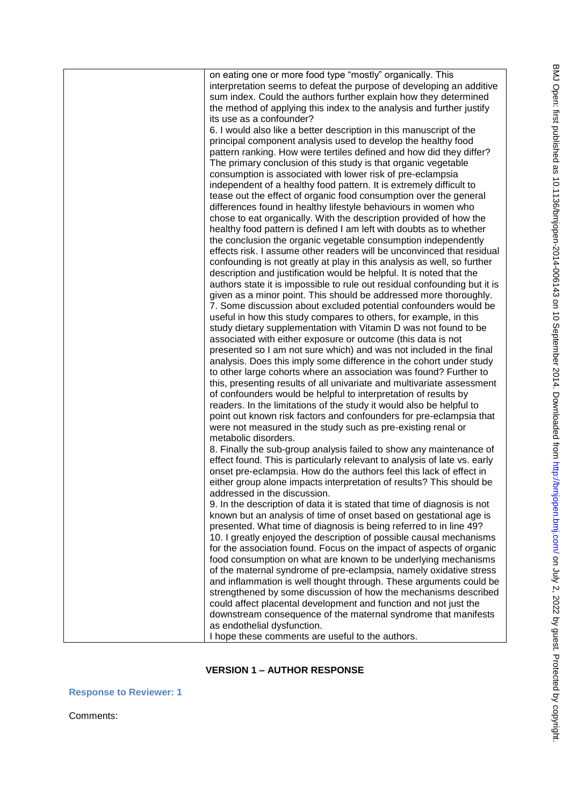| on eating one or more food type "mostly" organically. This                |
|---------------------------------------------------------------------------|
|                                                                           |
| interpretation seems to defeat the purpose of developing an additive      |
| sum index. Could the authors further explain how they determined          |
| the method of applying this index to the analysis and further justify     |
| its use as a confounder?                                                  |
| 6. I would also like a better description in this manuscript of the       |
| principal component analysis used to develop the healthy food             |
| pattern ranking. How were tertiles defined and how did they differ?       |
| The primary conclusion of this study is that organic vegetable            |
| consumption is associated with lower risk of pre-eclampsia                |
| independent of a healthy food pattern. It is extremely difficult to       |
| tease out the effect of organic food consumption over the general         |
| differences found in healthy lifestyle behaviours in women who            |
| chose to eat organically. With the description provided of how the        |
| healthy food pattern is defined I am left with doubts as to whether       |
| the conclusion the organic vegetable consumption independently            |
| effects risk. I assume other readers will be unconvinced that residual    |
| confounding is not greatly at play in this analysis as well, so further   |
| description and justification would be helpful. It is noted that the      |
|                                                                           |
| authors state it is impossible to rule out residual confounding but it is |
| given as a minor point. This should be addressed more thoroughly.         |
| 7. Some discussion about excluded potential confounders would be          |
| useful in how this study compares to others, for example, in this         |
| study dietary supplementation with Vitamin D was not found to be          |
| associated with either exposure or outcome (this data is not              |
| presented so I am not sure which) and was not included in the final       |
| analysis. Does this imply some difference in the cohort under study       |
| to other large cohorts where an association was found? Further to         |
| this, presenting results of all univariate and multivariate assessment    |
| of confounders would be helpful to interpretation of results by           |
| readers. In the limitations of the study it would also be helpful to      |
| point out known risk factors and confounders for pre-eclampsia that       |
| were not measured in the study such as pre-existing renal or              |
| metabolic disorders.                                                      |
| 8. Finally the sub-group analysis failed to show any maintenance of       |
| effect found. This is particularly relevant to analysis of late vs. early |
| onset pre-eclampsia. How do the authors feel this lack of effect in       |
| either group alone impacts interpretation of results? This should be      |
| addressed in the discussion.                                              |
| 9. In the description of data it is stated that time of diagnosis is not  |
| known but an analysis of time of onset based on gestational age is        |
| presented. What time of diagnosis is being referred to in line 49?        |
|                                                                           |
| 10. I greatly enjoyed the description of possible causal mechanisms       |
| for the association found. Focus on the impact of aspects of organic      |
| food consumption on what are known to be underlying mechanisms            |
| of the maternal syndrome of pre-eclampsia, namely oxidative stress        |
| and inflammation is well thought through. These arguments could be        |
| strengthened by some discussion of how the mechanisms described           |
| could affect placental development and function and not just the          |
| downstream consequence of the maternal syndrome that manifests            |
| as endothelial dysfunction.                                               |
| I hope these comments are useful to the authors.                          |

# **VERSION 1 – AUTHOR RESPONSE**

**Response to Reviewer: 1** 

Comments: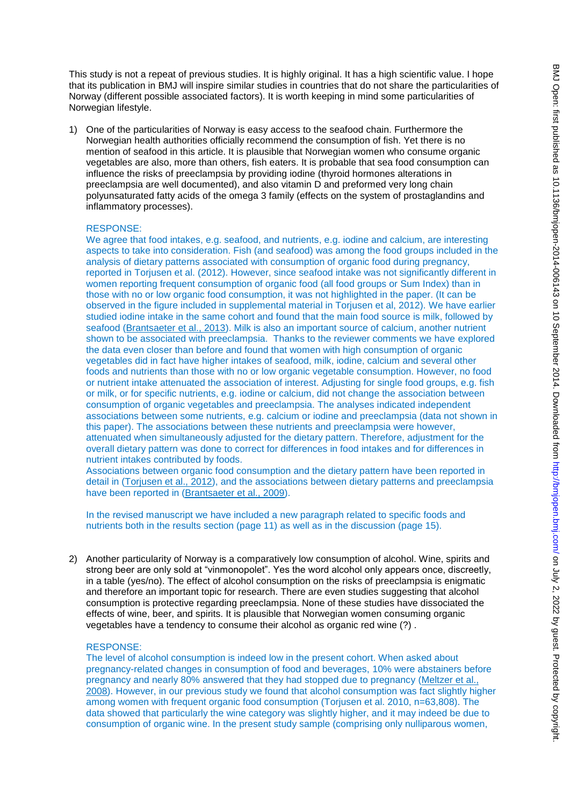This study is not a repeat of previous studies. It is highly original. It has a high scientific value. I hope that its publication in BMJ will inspire similar studies in countries that do not share the particularities of Norway (different possible associated factors). It is worth keeping in mind some particularities of Norwegian lifestyle.

1) One of the particularities of Norway is easy access to the seafood chain. Furthermore the Norwegian health authorities officially recommend the consumption of fish. Yet there is no mention of seafood in this article. It is plausible that Norwegian women who consume organic vegetables are also, more than others, fish eaters. It is probable that sea food consumption can influence the risks of preeclampsia by providing iodine (thyroid hormones alterations in preeclampsia are well documented), and also vitamin D and preformed very long chain polyunsaturated fatty acids of the omega 3 family (effects on the system of prostaglandins and inflammatory processes).

## RESPONSE:

We agree that food intakes, e.g. seafood, and nutrients, e.g. iodine and calcium, are interesting aspects to take into consideration. Fish (and seafood) was among the food groups included in the analysis of dietary patterns associated with consumption of organic food during pregnancy, reported in Torjusen et al. (2012). However, since seafood intake was not significantly different in women reporting frequent consumption of organic food (all food groups or Sum Index) than in those with no or low organic food consumption, it was not highlighted in the paper. (It can be observed in the figure included in supplemental material in Torjusen et al, 2012). We have earlier studied iodine intake in the same cohort and found that the main food source is milk, followed by seafood [\(Brantsaeter et al., 2013\)](file:///C:/Users/maramos.SPI-GLOBAL/AppData/Local/Temp/Svar_Reviewers_BMJ_11072014-2.docx%23_ENREF_1). Milk is also an important source of calcium, another nutrient shown to be associated with preeclampsia. Thanks to the reviewer comments we have explored the data even closer than before and found that women with high consumption of organic vegetables did in fact have higher intakes of seafood, milk, iodine, calcium and several other foods and nutrients than those with no or low organic vegetable consumption. However, no food or nutrient intake attenuated the association of interest. Adjusting for single food groups, e.g. fish or milk, or for specific nutrients, e.g. iodine or calcium, did not change the association between consumption of organic vegetables and preeclampsia. The analyses indicated independent associations between some nutrients, e.g. calcium or iodine and preeclampsia (data not shown in this paper). The associations between these nutrients and preeclampsia were however, attenuated when simultaneously adjusted for the dietary pattern. Therefore, adjustment for the overall dietary pattern was done to correct for differences in food intakes and for differences in nutrient intakes contributed by foods.

Associations between organic food consumption and the dietary pattern have been reported in detail in [\(Torjusen et al., 2012\)](file:///C:/Users/maramos.SPI-GLOBAL/AppData/Local/Temp/Svar_Reviewers_BMJ_11072014-2.docx%23_ENREF_6), and the associations between dietary patterns and preeclampsia have been reported in [\(Brantsaeter et al., 2009\)](file:///C:/Users/maramos.SPI-GLOBAL/AppData/Local/Temp/Svar_Reviewers_BMJ_11072014-2.docx%23_ENREF_2).

In the revised manuscript we have included a new paragraph related to specific foods and nutrients both in the results section (page 11) as well as in the discussion (page 15).

2) Another particularity of Norway is a comparatively low consumption of alcohol. Wine, spirits and strong beer are only sold at "vinmonopolet". Yes the word alcohol only appears once, discreetly, in a table (yes/no). The effect of alcohol consumption on the risks of preeclampsia is enigmatic and therefore an important topic for research. There are even studies suggesting that alcohol consumption is protective regarding preeclampsia. None of these studies have dissociated the effects of wine, beer, and spirits. It is plausible that Norwegian women consuming organic vegetables have a tendency to consume their alcohol as organic red wine (?) .

#### RESPONSE:

The level of alcohol consumption is indeed low in the present cohort. When asked about pregnancy-related changes in consumption of food and beverages, 10% were abstainers before pregnancy and nearly 80% answered that they had stopped due to pregnancy [\(Meltzer et al.,](file:///C:/Users/maramos.SPI-GLOBAL/AppData/Local/Temp/Svar_Reviewers_BMJ_11072014-2.docx%23_ENREF_4)  [2008\)](file:///C:/Users/maramos.SPI-GLOBAL/AppData/Local/Temp/Svar_Reviewers_BMJ_11072014-2.docx%23_ENREF_4). However, in our previous study we found that alcohol consumption was fact slightly higher among women with frequent organic food consumption (Torjusen et al. 2010, n=63,808). The data showed that particularly the wine category was slightly higher, and it may indeed be due to consumption of organic wine. In the present study sample (comprising only nulliparous women,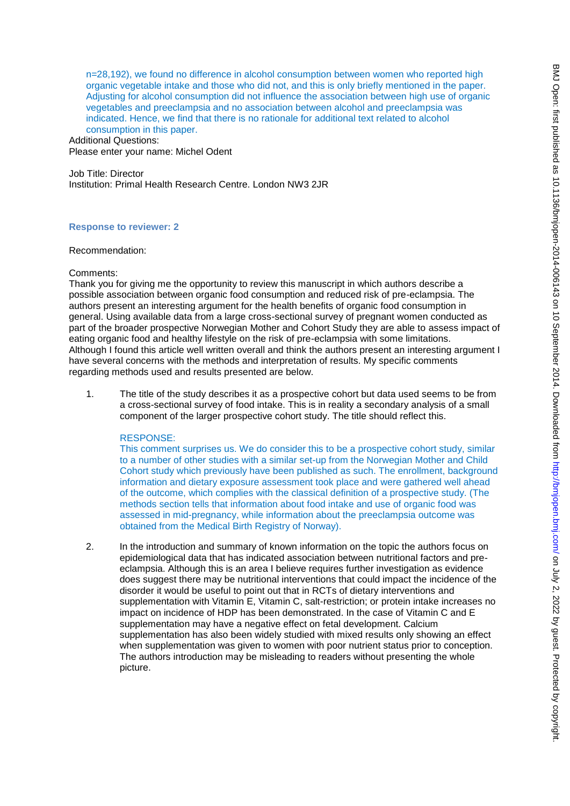n=28,192), we found no difference in alcohol consumption between women who reported high organic vegetable intake and those who did not, and this is only briefly mentioned in the paper. Adjusting for alcohol consumption did not influence the association between high use of organic vegetables and preeclampsia and no association between alcohol and preeclampsia was indicated. Hence, we find that there is no rationale for additional text related to alcohol consumption in this paper.

Additional Questions: Please enter your name: Michel Odent

Job Title: Director Institution: Primal Health Research Centre. London NW3 2JR

## **Response to reviewer: 2**

#### Recommendation:

## Comments:

Thank you for giving me the opportunity to review this manuscript in which authors describe a possible association between organic food consumption and reduced risk of pre-eclampsia. The authors present an interesting argument for the health benefits of organic food consumption in general. Using available data from a large cross-sectional survey of pregnant women conducted as part of the broader prospective Norwegian Mother and Cohort Study they are able to assess impact of eating organic food and healthy lifestyle on the risk of pre-eclampsia with some limitations. Although I found this article well written overall and think the authors present an interesting argument I have several concerns with the methods and interpretation of results. My specific comments regarding methods used and results presented are below.

1. The title of the study describes it as a prospective cohort but data used seems to be from a cross-sectional survey of food intake. This is in reality a secondary analysis of a small component of the larger prospective cohort study. The title should reflect this.

## RESPONSE:

This comment surprises us. We do consider this to be a prospective cohort study, similar to a number of other studies with a similar set-up from the Norwegian Mother and Child Cohort study which previously have been published as such. The enrollment, background information and dietary exposure assessment took place and were gathered well ahead of the outcome, which complies with the classical definition of a prospective study. (The methods section tells that information about food intake and use of organic food was assessed in mid-pregnancy, while information about the preeclampsia outcome was obtained from the Medical Birth Registry of Norway).

2. In the introduction and summary of known information on the topic the authors focus on epidemiological data that has indicated association between nutritional factors and preeclampsia. Although this is an area I believe requires further investigation as evidence does suggest there may be nutritional interventions that could impact the incidence of the disorder it would be useful to point out that in RCTs of dietary interventions and supplementation with Vitamin E, Vitamin C, salt-restriction; or protein intake increases no impact on incidence of HDP has been demonstrated. In the case of Vitamin C and E supplementation may have a negative effect on fetal development. Calcium supplementation has also been widely studied with mixed results only showing an effect when supplementation was given to women with poor nutrient status prior to conception. The authors introduction may be misleading to readers without presenting the whole picture.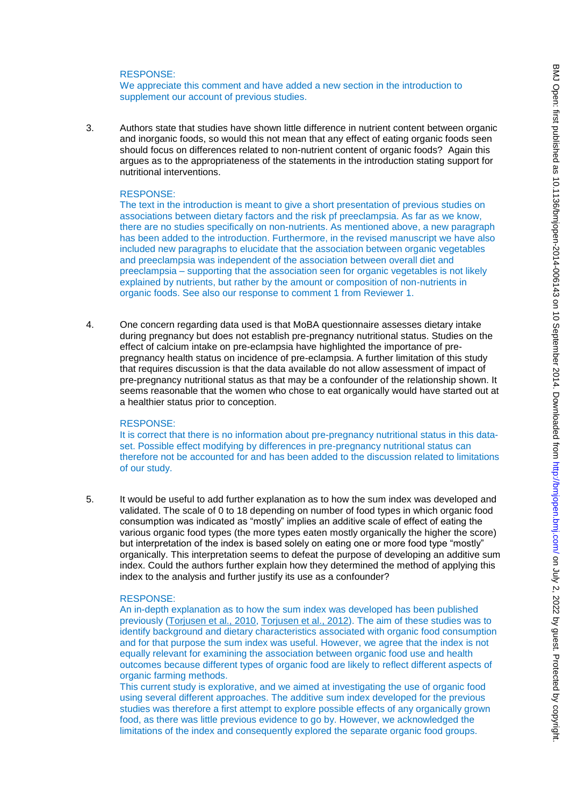## RESPONSE:

We appreciate this comment and have added a new section in the introduction to supplement our account of previous studies.

3. Authors state that studies have shown little difference in nutrient content between organic and inorganic foods, so would this not mean that any effect of eating organic foods seen should focus on differences related to non-nutrient content of organic foods? Again this argues as to the appropriateness of the statements in the introduction stating support for nutritional interventions.

#### RESPONSE:

The text in the introduction is meant to give a short presentation of previous studies on associations between dietary factors and the risk pf preeclampsia. As far as we know, there are no studies specifically on non-nutrients. As mentioned above, a new paragraph has been added to the introduction. Furthermore, in the revised manuscript we have also included new paragraphs to elucidate that the association between organic vegetables and preeclampsia was independent of the association between overall diet and preeclampsia – supporting that the association seen for organic vegetables is not likely explained by nutrients, but rather by the amount or composition of non-nutrients in organic foods. See also our response to comment 1 from Reviewer 1.

4. One concern regarding data used is that MoBA questionnaire assesses dietary intake during pregnancy but does not establish pre-pregnancy nutritional status. Studies on the effect of calcium intake on pre-eclampsia have highlighted the importance of prepregnancy health status on incidence of pre-eclampsia. A further limitation of this study that requires discussion is that the data available do not allow assessment of impact of pre-pregnancy nutritional status as that may be a confounder of the relationship shown. It seems reasonable that the women who chose to eat organically would have started out at a healthier status prior to conception.

#### RESPONSE:

It is correct that there is no information about pre-pregnancy nutritional status in this dataset. Possible effect modifying by differences in pre-pregnancy nutritional status can therefore not be accounted for and has been added to the discussion related to limitations of our study.

5. It would be useful to add further explanation as to how the sum index was developed and validated. The scale of 0 to 18 depending on number of food types in which organic food consumption was indicated as "mostly" implies an additive scale of effect of eating the various organic food types (the more types eaten mostly organically the higher the score) but interpretation of the index is based solely on eating one or more food type "mostly" organically. This interpretation seems to defeat the purpose of developing an additive sum index. Could the authors further explain how they determined the method of applying this index to the analysis and further justify its use as a confounder?

#### RESPONSE:

An in-depth explanation as to how the sum index was developed has been published previously [\(Torjusen et al., 2010,](file:///C:/Users/maramos.SPI-GLOBAL/AppData/Local/Temp/Svar_Reviewers_BMJ_11072014-2.docx%23_ENREF_5) [Torjusen et al., 2012\)](file:///C:/Users/maramos.SPI-GLOBAL/AppData/Local/Temp/Svar_Reviewers_BMJ_11072014-2.docx%23_ENREF_6). The aim of these studies was to identify background and dietary characteristics associated with organic food consumption and for that purpose the sum index was useful. However, we agree that the index is not equally relevant for examining the association between organic food use and health outcomes because different types of organic food are likely to reflect different aspects of organic farming methods.

This current study is explorative, and we aimed at investigating the use of organic food using several different approaches. The additive sum index developed for the previous studies was therefore a first attempt to explore possible effects of any organically grown food, as there was little previous evidence to go by. However, we acknowledged the limitations of the index and consequently explored the separate organic food groups.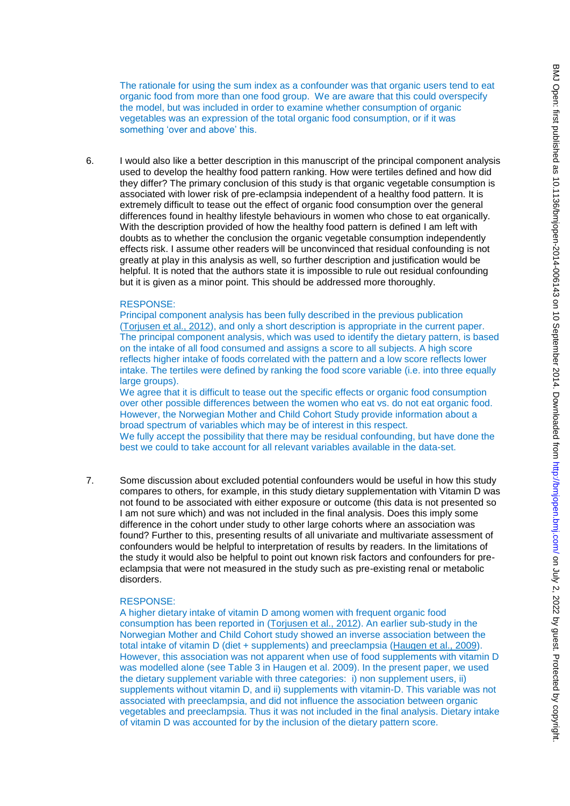The rationale for using the sum index as a confounder was that organic users tend to eat organic food from more than one food group. We are aware that this could overspecify the model, but was included in order to examine whether consumption of organic vegetables was an expression of the total organic food consumption, or if it was something 'over and above' this.

6. I would also like a better description in this manuscript of the principal component analysis used to develop the healthy food pattern ranking. How were tertiles defined and how did they differ? The primary conclusion of this study is that organic vegetable consumption is associated with lower risk of pre-eclampsia independent of a healthy food pattern. It is extremely difficult to tease out the effect of organic food consumption over the general differences found in healthy lifestyle behaviours in women who chose to eat organically. With the description provided of how the healthy food pattern is defined I am left with doubts as to whether the conclusion the organic vegetable consumption independently effects risk. I assume other readers will be unconvinced that residual confounding is not greatly at play in this analysis as well, so further description and justification would be helpful. It is noted that the authors state it is impossible to rule out residual confounding but it is given as a minor point. This should be addressed more thoroughly.

#### RESPONSE:

Principal component analysis has been fully described in the previous publication [\(Torjusen et al., 2012\)](file:///C:/Users/maramos.SPI-GLOBAL/AppData/Local/Temp/Svar_Reviewers_BMJ_11072014-2.docx%23_ENREF_6), and only a short description is appropriate in the current paper. The principal component analysis, which was used to identify the dietary pattern, is based on the intake of all food consumed and assigns a score to all subjects. A high score reflects higher intake of foods correlated with the pattern and a low score reflects lower intake. The tertiles were defined by ranking the food score variable (i.e. into three equally large groups).

We agree that it is difficult to tease out the specific effects or organic food consumption over other possible differences between the women who eat vs. do not eat organic food. However, the Norwegian Mother and Child Cohort Study provide information about a broad spectrum of variables which may be of interest in this respect. We fully accept the possibility that there may be residual confounding, but have done the best we could to take account for all relevant variables available in the data-set.

7. Some discussion about excluded potential confounders would be useful in how this study compares to others, for example, in this study dietary supplementation with Vitamin D was not found to be associated with either exposure or outcome (this data is not presented so I am not sure which) and was not included in the final analysis. Does this imply some difference in the cohort under study to other large cohorts where an association was found? Further to this, presenting results of all univariate and multivariate assessment of confounders would be helpful to interpretation of results by readers. In the limitations of the study it would also be helpful to point out known risk factors and confounders for preeclampsia that were not measured in the study such as pre-existing renal or metabolic disorders.

#### RESPONSE:

A higher dietary intake of vitamin D among women with frequent organic food consumption has been reported in [\(Torjusen et al., 2012\)](file:///C:/Users/maramos.SPI-GLOBAL/AppData/Local/Temp/Svar_Reviewers_BMJ_11072014-2.docx%23_ENREF_6). An earlier sub-study in the Norwegian Mother and Child Cohort study showed an inverse association between the total intake of vitamin D (diet + supplements) and preeclampsia [\(Haugen et al., 2009\)](file:///C:/Users/maramos.SPI-GLOBAL/AppData/Local/Temp/Svar_Reviewers_BMJ_11072014-2.docx%23_ENREF_3). However, this association was not apparent when use of food supplements with vitamin D was modelled alone (see Table 3 in Haugen et al. 2009). In the present paper, we used the dietary supplement variable with three categories: i) non supplement users, ii) supplements without vitamin D, and ii) supplements with vitamin-D. This variable was not associated with preeclampsia, and did not influence the association between organic vegetables and preeclampsia. Thus it was not included in the final analysis. Dietary intake of vitamin D was accounted for by the inclusion of the dietary pattern score.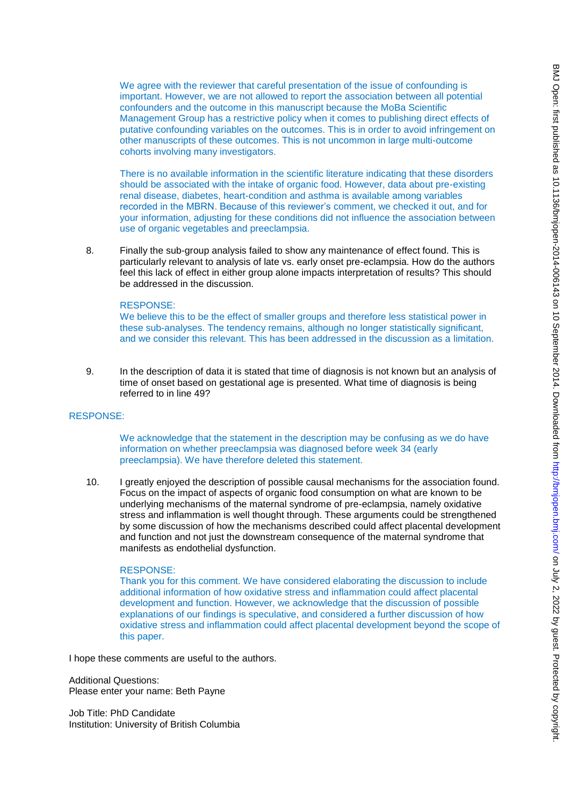We agree with the reviewer that careful presentation of the issue of confounding is important. However, we are not allowed to report the association between all potential confounders and the outcome in this manuscript because the MoBa Scientific Management Group has a restrictive policy when it comes to publishing direct effects of putative confounding variables on the outcomes. This is in order to avoid infringement on other manuscripts of these outcomes. This is not uncommon in large multi-outcome cohorts involving many investigators.

There is no available information in the scientific literature indicating that these disorders should be associated with the intake of organic food. However, data about pre-existing renal disease, diabetes, heart-condition and asthma is available among variables recorded in the MBRN. Because of this reviewer"s comment, we checked it out, and for your information, adjusting for these conditions did not influence the association between use of organic vegetables and preeclampsia.

8. Finally the sub-group analysis failed to show any maintenance of effect found. This is particularly relevant to analysis of late vs. early onset pre-eclampsia. How do the authors feel this lack of effect in either group alone impacts interpretation of results? This should be addressed in the discussion.

#### RESPONSE:

We believe this to be the effect of smaller groups and therefore less statistical power in these sub-analyses. The tendency remains, although no longer statistically significant, and we consider this relevant. This has been addressed in the discussion as a limitation.

9. In the description of data it is stated that time of diagnosis is not known but an analysis of time of onset based on gestational age is presented. What time of diagnosis is being referred to in line 49?

#### RESPONSE:

We acknowledge that the statement in the description may be confusing as we do have information on whether preeclampsia was diagnosed before week 34 (early preeclampsia). We have therefore deleted this statement.

10. I greatly enjoyed the description of possible causal mechanisms for the association found. Focus on the impact of aspects of organic food consumption on what are known to be underlying mechanisms of the maternal syndrome of pre-eclampsia, namely oxidative stress and inflammation is well thought through. These arguments could be strengthened by some discussion of how the mechanisms described could affect placental development and function and not just the downstream consequence of the maternal syndrome that manifests as endothelial dysfunction.

#### RESPONSE:

Thank you for this comment. We have considered elaborating the discussion to include additional information of how oxidative stress and inflammation could affect placental development and function. However, we acknowledge that the discussion of possible explanations of our findings is speculative, and considered a further discussion of how oxidative stress and inflammation could affect placental development beyond the scope of this paper.

I hope these comments are useful to the authors.

Additional Questions: Please enter your name: Beth Payne

Job Title: PhD Candidate Institution: University of British Columbia